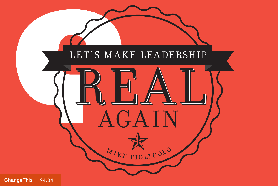

[ChangeThis](http://changethis.com) | 94.04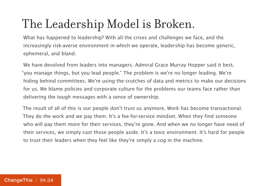# The Leadership Model is Broken.

What has happened to leadership? With all the crises and challenges we face, and the increasingly risk-averse environment in which we operate, leadership has become generic, ephemeral, and bland.

We have devolved from leaders into managers. Admiral Grace Murray Hopper said it best, "you manage things, but you lead people." The problem is we're no longer leading. We're hiding behind committees. We're using the crutches of data and metrics to make our decisions for us. We blame policies and corporate culture for the problems our teams face rather than delivering the tough messages with a sense of ownership.

The result of all of this is our people don't trust us anymore. Work has become transactional. They do the work and we pay them. It's a fee-for-service mindset. When they find someone who will pay them more for their services, they're gone. And when we no longer have need of their services, we simply cast those people aside. It's a toxic environment. It's hard for people to trust their leaders when they feel like they're simply a cog in the machine.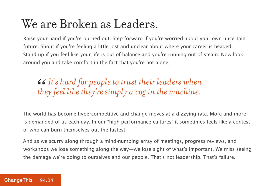#### We are Broken as Leaders.

Raise your hand if you're burned out. Step forward if you're worried about your own uncertain future. Shout if you're feeling a little lost and unclear about where your career is headed. Stand up if you feel like your life is out of balance and you're running out of steam. Now look around you and take comfort in the fact that you're not alone.

#### *It's hard for people to trust their leaders when*  66<br>the *they feel like they're simply a cog in the machine.*

The world has become hypercompetitive and change moves at a dizzying rate. More and more is demanded of us each day. In our "high performance cultures" it sometimes feels like a contest of who can burn themselves out the fastest.

And as we scurry along through a mind-numbing array of meetings, progress reviews, and workshops we lose something along the way—we lose sight of what's important. We miss seeing the damage we're doing to ourselves and our people. That's not leadership. That's failure.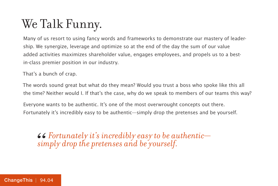# We Talk Funny.

Many of us resort to using fancy words and frameworks to demonstrate our mastery of leadership. We synergize, leverage and optimize so at the end of the day the sum of our value added activities maximizes shareholder value, engages employees, and propels us to a bestin-class premier position in our industry.

That's a bunch of crap.

The words sound great but what do they mean? Would you trust a boss who spoke like this all the time? Neither would I. If that's the case, why do we speak to members of our teams this way?

Everyone wants to be authentic. It's one of the most overwrought concepts out there. Fortunately it's incredibly easy to be authentic—simply drop the pretenses and be yourself.

*Fortunately it's incredibly easy to be authentic— " simply drop the pretenses and be yourself.*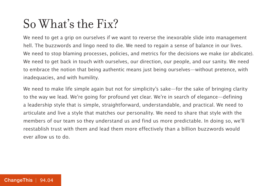#### So What's the Fix?

We need to get a grip on ourselves if we want to reverse the inexorable slide into management hell. The buzzwords and lingo need to die. We need to regain a sense of balance in our lives. We need to stop blaming processes, policies, and metrics for the decisions we make (or abdicate). We need to get back in touch with ourselves, our direction, our people, and our sanity. We need to embrace the notion that being authentic means just being ourselves—without pretence, with inadequacies, and with humility.

We need to make life simple again but not for simplicity's sake—for the sake of bringing clarity to the way we lead. We're going for profound yet clear. We're in search of elegance—defining a leadership style that is simple, straightforward, understandable, and practical. We need to articulate and live a style that matches our personality. We need to share that style with the members of our team so they understand us and find us more predictable. In doing so, we'll reestablish trust with them and lead them more effectively than a billion buzzwords would ever allow us to do.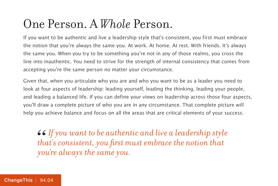### One Person. A *Whole* Person.

If you want to be authentic and live a leadership style that's consistent, you first must embrace the notion that you're always the same you. At work. At home. At rest. With friends. It's always the same you. When you try to be something you're not in any of those realms, you cross the line into inauthentic. You need to strive for the strength of internal consistency that comes from accepting you're the same person no matter your circumstance.

Given that, when you articulate who you are and who you want to be as a leader you need to look at four aspects of leadership: leading yourself, leading the thinking, leading your people, and leading a balanced life. If you can define your views on leadership across those four aspects, you'll draw a complete picture of who you are in any circumstance. That complete picture will help you achieve balance and focus on all the areas that are critical elements of your success.

*If you want to be authentic and live a leadership style that's consistent, you first must embrace the notion that you're always the same you.*  $\frac{66}{100}$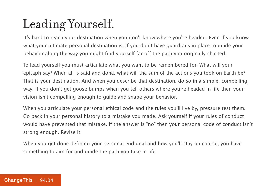# Leading Yourself.

It's hard to reach your destination when you don't know where you're headed. Even if you know what your ultimate personal destination is, if you don't have guardrails in place to guide your behavior along the way you might find yourself far off the path you originally charted.

To lead yourself you must articulate what you want to be remembered for. What will your epitaph say? When all is said and done, what will the sum of the actions you took on Earth be? That is your destination. And when you describe that destination, do so in a simple, compelling way. If you don't get goose bumps when you tell others where you're headed in life then your vision isn't compelling enough to guide and shape your behavior.

When you articulate your personal ethical code and the rules you'll live by, pressure test them. Go back in your personal history to a mistake you made. Ask yourself if your rules of conduct would have prevented that mistake. If the answer is "no" then your personal code of conduct isn't strong enough. Revise it.

When you get done defining your personal end goal and how you'll stay on course, you have something to aim for and guide the path you take in life.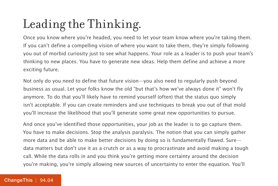# Leading the Thinking.

Once you know where you're headed, you need to let your team know where you're taking them. If you can't define a compelling vision of where you want to take them, they're simply following you out of morbid curiosity just to see what happens. Your role as a leader is to push your team's thinking to new places. You have to generate new ideas. Help them define and achieve a more exciting future.

Not only do you need to define that future vision—you also need to regularly push beyond business as usual. Let your folks know the old "but that's how we've always done it" won't fly anymore. To do that you'll likely have to remind yourself (often) that the status quo simply isn't acceptable. If you can create reminders and use techniques to break you out of that mold you'll increase the likelihood that you'll generate some great new opportunities to pursue.

And once you've identified those opportunities, your job as the leader is to go capture them. You have to make decisions. Stop the analysis paralysis. The notion that you can simply gather more data and be able to make better decisions by doing so is fundamentally flawed. Sure data matters but don't use it as a crutch or as a way to procrastinate and avoid making a tough call. While the data rolls in and you think you're getting more certainty around the decision you're making, you're simply allowing new sources of uncertainty to enter the equation. You'll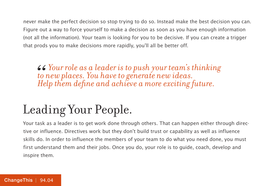never make the perfect decision so stop trying to do so. Instead make the best decision you can. Figure out a way to force yourself to make a decision as soon as you have enough information (not all the information). Your team is looking for you to be decisive. If you can create a trigger that prods you to make decisions more rapidly, you'll all be better off.

*Your role as a leader is to push your team's thinking to new places. You have to generate new ideas. " Help them define and achieve a more exciting future.* 

# Leading Your People.

Your task as a leader is to get work done through others. That can happen either through directive or influence. Directives work but they don't build trust or capability as well as influence skills do. In order to influence the members of your team to do what you need done, you must first understand them and their jobs. Once you do, your role is to guide, coach, develop and inspire them.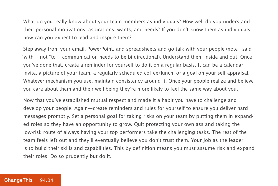What do you really know about your team members as individuals? How well do you understand their personal motivations, aspirations, wants, and needs? If you don't know them as individuals how can you expect to lead and inspire them?

Step away from your email, PowerPoint, and spreadsheets and go talk with your people (note I said "with"—not "to"—communication needs to be bi-directional). Understand them inside and out. Once you've done that, create a reminder for yourself to do it on a regular basis. It can be a calendar invite, a picture of your team, a regularly scheduled coffee/lunch, or a goal on your self appraisal. Whatever mechanism you use, maintain consistency around it. Once your people realize and believe you care about them and their well-being they're more likely to feel the same way about you.

Now that you've established mutual respect and made it a habit you have to challenge and develop your people. Again—create reminders and rules for yourself to ensure you deliver hard messages promptly. Set a personal goal for taking risks on your team by putting them in expanded roles so they have an opportunity to grow. Quit protecting your own ass and taking the low-risk route of always having your top performers take the challenging tasks. The rest of the team feels left out and they'll eventually believe you don't trust them. Your job as the leader is to build their skills and capabilities. This by definition means you must assume risk and expand their roles. Do so prudently but do it.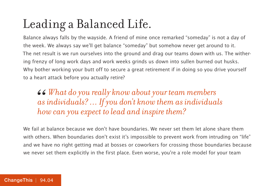# Leading a Balanced Life.

Balance always falls by the wayside. A friend of mine once remarked "someday" is not a day of the week. We always say we'll get balance "someday" but somehow never get around to it. The net result is we run ourselves into the ground and drag our teams down with us. The withering frenzy of long work days and work weeks grinds us down into sullen burned out husks. Why bother working your butt off to secure a great retirement if in doing so you drive yourself to a heart attack before you actually retire?

#### *What do you really know about your team members as individuals? … If you don't know them as individuals how can you expect to lead and inspire them?* 66<br>*as*<br>*ho*

We fail at balance because we don't have boundaries. We never set them let alone share them with others. When boundaries don't exist it's impossible to prevent work from intruding on "life" and we have no right getting mad at bosses or coworkers for crossing those boundaries because we never set them explicitly in the first place. Even worse, you're a role model for your team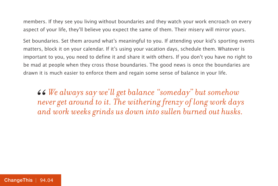members. If they see you living without boundaries and they watch your work encroach on every aspect of your life, they'll believe you expect the same of them. Their misery will mirror yours.

Set boundaries. Set them around what's meaningful to you. If attending your kid's sporting events matters, block it on your calendar. If it's using your vacation days, schedule them. Whatever is important to you, you need to define it and share it with others. If you don't you have no right to be mad at people when they cross those boundaries. The good news is once the boundaries are drawn it is much easier to enforce them and regain some sense of balance in your life.

*We always say we'll get balance "someday" but somehow never get around to it. The withering frenzy of long work days and work weeks grinds us down into sullen burned out husks.* 66<br> *ne*<br> *an*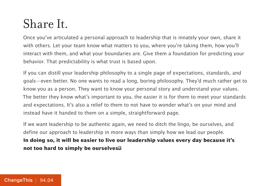### Share It.

Once you've articulated a personal approach to leadership that is innately your own, share it with others. Let your team know what matters to you, where you're taking them, how you'll interact with them, and what your boundaries are. Give them a foundation for predicting your behavior. That predictability is what trust is based upon.

If you can distill your leadership philosophy to a single page of expectations, standards, and goals—even better. No one wants to read a long, boring philosophy. They'd much rather get to know you as a person. They want to know your personal story and understand your values. The better they know what's important to you, the easier it is for them to meet your standards and expectations. It's also a relief to them to not have to wonder what's on your mind and instead have it handed to them on a simple, straightforward page.

If we want leadership to be authentic again, we need to ditch the lingo, be ourselves, and define our approach to leadership in more ways than simply how we lead our people. **In doing so, it will be easier to live our leadership values every day because it's not too hard to simply be ourselves.**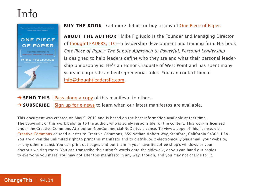#### Info



#### **BUY THE BOOK** | Get more details or buy a copy of [One Piece of Paper.](http://800ceoread.com/book/show/9781118049594)

**ABOUT THE AUTHOR** | Mike Figliuolo is the Founder and Managing Director of [thoughtLEADERS, LLC—](http://www.thoughtleadersllc.com/)a leadership development and training firm. His book One Piece of Paper: The Simple Approach to Powerful, Personal Leadership is designed to help leaders define who they are and what their personal leadership philosophy is. He's an Honor Graduate of West Point and has spent many years in corporate and entrepreneurial roles. You can contact him at [info@thoughtleadersllc.com.](mailto:info@thoughtleadersllc.com)

- **→ SEND THIS** | [Pass along a copy](http://www.changethis.com/94.04.RealLeadership/email) of this manifesto to others.
- **→ SUBSCRIBE** | Sign up fo[r e-news](http://changethis.com/page/show/e_mail_newsletter) to learn when our latest manifestos are available.

This document was created on May 9, 2012 and is based on the best information available at that time. The copyright of this work belongs to the author, who is solely responsible for the content. This work is licensed under the Creative Commons Attribution-NonCommercial-NoDerivs License. To view a copy of this license, visit [Creative Commons](http://creativecommons.org/licenses/by-nc-nd/2.0/) or send a letter to Creative Commons, 559 Nathan Abbott Way, Stanford, California 94305, USA. You are given the unlimited right to print this manifesto and to distribute it electronically (via email, your website, or any other means). You can print out pages and put them in your favorite coffee shop's windows or your doctor's waiting room. You can transcribe the author's words onto the sidewalk, or you can hand out copies to everyone you meet. You may not alter this manifesto in any way, though, and you may not charge for it.